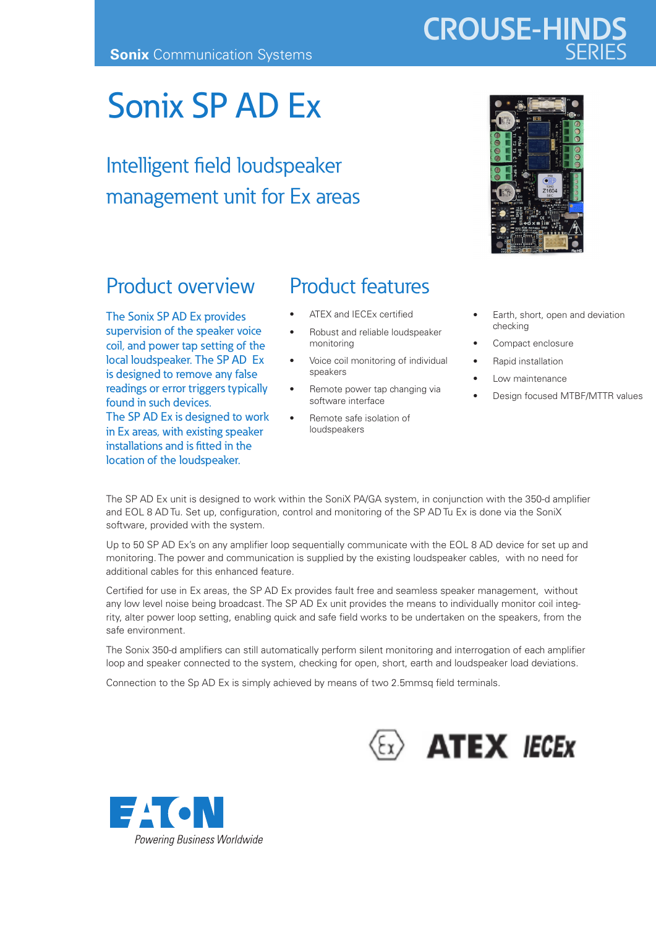# Sonix SP AD Ex

## Intelligent field loudspeaker management unit for Ex areas



**CROUSE-HIND** 

#### Product overview

The Sonix SP AD Ex provides supervision of the speaker voice coil, and power tap setting of the local loudspeaker. The SP AD Ex is designed to remove any false readings or error triggers typically found in such devices. The SP AD Ex is designed to work in Ex areas, with existing speaker installations and is fitted in the location of the loudspeaker.

#### Product features

- ATEX and IECEx certified
- Robust and reliable loudspeaker monitoring
- Voice coil monitoring of individual speakers
- Remote power tap changing via software interface
- Remote safe isolation of loudspeakers
- Earth, short, open and deviation checking
- Compact enclosure
- Rapid installation
- Low maintenance
- Design focused MTBF/MTTR values

• The SP AD Ex unit is designed to work within the SoniX PA/GA system, in conjunction with the 350-d amplifier • and EOL 8 AD Tu. Set up, configuration, control and monitoring of the SP AD Tu Ex is done via the SoniX software, provided with the system.

Up to 50 SP AD Ex's on any amplifier loop sequentially communicate with the EOL 8 AD device for set up and monitoring. The power and communication is supplied by the existing loudspeaker cables, with no need for additional cables for this enhanced feature.

Certified for use in Ex areas, the SP AD Ex provides fault free and seamless speaker management, without any low level noise being broadcast. The SP AD Ex unit provides the means to individually monitor coil integrity, alter power loop setting, enabling quick and safe field works to be undertaken on the speakers, from the safe environment.

The Sonix 350-d amplifiers can still automatically perform silent monitoring and interrogation of each amplifier loop and speaker connected to the system, checking for open, short, earth and loudspeaker load deviations.

Connection to the Sp AD Ex is simply achieved by means of two 2.5mmsq field terminals.